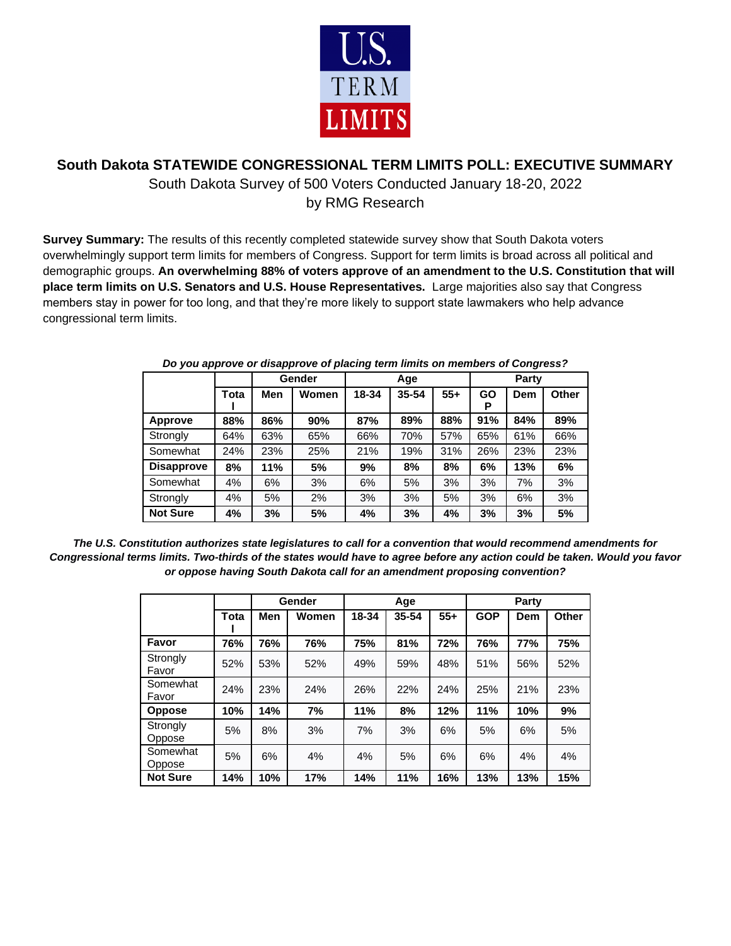

## **South Dakota STATEWIDE CONGRESSIONAL TERM LIMITS POLL: EXECUTIVE SUMMARY**

South Dakota Survey of 500 Voters Conducted January 18-20, 2022 by RMG Research

**Survey Summary:** The results of this recently completed statewide survey show that South Dakota voters overwhelmingly support term limits for members of Congress. Support for term limits is broad across all political and demographic groups. **An overwhelming 88% of voters approve of an amendment to the U.S. Constitution that will place term limits on U.S. Senators and U.S. House Representatives.** Large majorities also say that Congress members stay in power for too long, and that they're more likely to support state lawmakers who help advance congressional term limits.

|                   |      |     | Gender |       | Age   |       |         | Party      |       |  |
|-------------------|------|-----|--------|-------|-------|-------|---------|------------|-------|--|
|                   | Tota | Men | Women  | 18-34 | 35-54 | $55+$ | GO<br>Р | <b>Dem</b> | Other |  |
| <b>Approve</b>    | 88%  | 86% | 90%    | 87%   | 89%   | 88%   | 91%     | 84%        | 89%   |  |
| Strongly          | 64%  | 63% | 65%    | 66%   | 70%   | 57%   | 65%     | 61%        | 66%   |  |
| Somewhat          | 24%  | 23% | 25%    | 21%   | 19%   | 31%   | 26%     | 23%        | 23%   |  |
| <b>Disapprove</b> | 8%   | 11% | 5%     | 9%    | 8%    | 8%    | 6%      | 13%        | 6%    |  |
| Somewhat          | 4%   | 6%  | 3%     | 6%    | 5%    | 3%    | 3%      | 7%         | 3%    |  |
| Strongly          | 4%   | 5%  | 2%     | 3%    | 3%    | 5%    | 3%      | 6%         | 3%    |  |
| <b>Not Sure</b>   | 4%   | 3%  | 5%     | 4%    | 3%    | 4%    | 3%      | 3%         | 5%    |  |

## *Do you approve or disapprove of placing term limits on members of Congress?*

*The U.S. Constitution authorizes state legislatures to call for a convention that would recommend amendments for Congressional terms limits. Two-thirds of the states would have to agree before any action could be taken. Would you favor or oppose having South Dakota call for an amendment proposing convention?*

|                    |      |     | Gender |       | Age   |       |            | Party      |       |  |
|--------------------|------|-----|--------|-------|-------|-------|------------|------------|-------|--|
|                    | Tota | Men | Women  | 18-34 | 35-54 | $55+$ | <b>GOP</b> | <b>Dem</b> | Other |  |
| Favor              | 76%  | 76% | 76%    | 75%   | 81%   | 72%   | 76%        | 77%        | 75%   |  |
| Strongly<br>Favor  | 52%  | 53% | 52%    | 49%   | 59%   | 48%   | 51%        | 56%        | 52%   |  |
| Somewhat<br>Favor  | 24%  | 23% | 24%    | 26%   | 22%   | 24%   | 25%        | 21%        | 23%   |  |
| <b>Oppose</b>      | 10%  | 14% | 7%     | 11%   | 8%    | 12%   | 11%        | 10%        | 9%    |  |
| Strongly<br>Oppose | 5%   | 8%  | 3%     | 7%    | 3%    | 6%    | 5%         | 6%         | 5%    |  |
| Somewhat<br>Oppose | 5%   | 6%  | 4%     | 4%    | 5%    | 6%    | 6%         | 4%         | 4%    |  |
| <b>Not Sure</b>    | 14%  | 10% | 17%    | 14%   | 11%   | 16%   | 13%        | 13%        | 15%   |  |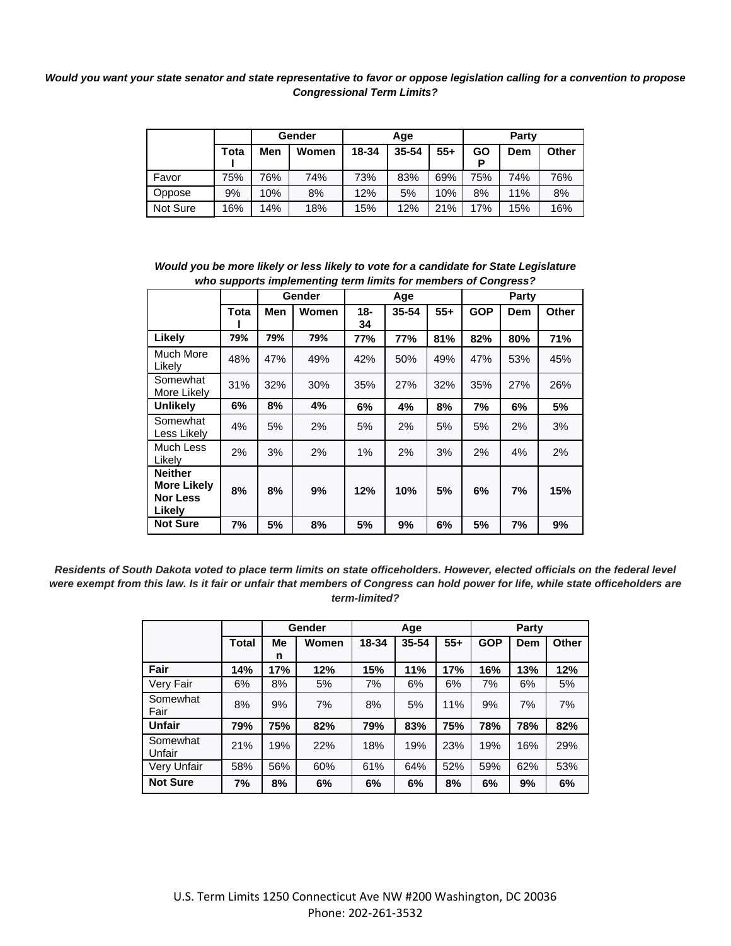## *Would you want your state senator and state representative to favor or oppose legislation calling for a convention to propose Congressional Term Limits?*

|          |      |     | Gender |       | Age   |       |     | Party |       |  |
|----------|------|-----|--------|-------|-------|-------|-----|-------|-------|--|
|          | Tota | Men | Women  | 18-34 | 35-54 | $55+$ | GO  | Dem   | Other |  |
| Favor    | 75%  | 76% | 74%    | 73%   | 83%   | 69%   | 75% | 74%   | 76%   |  |
| Oppose   | 9%   | 10% | 8%     | 12%   | 5%    | 10%   | 8%  | 11%   | 8%    |  |
| Not Sure | 16%  | 14% | 18%    | 15%   | 12%   | 21%   | 17% | 15%   | 16%   |  |

| Would you be more likely or less likely to vote for a candidate for State Legislature |
|---------------------------------------------------------------------------------------|
| who supports implementing term limits for members of Congress?                        |

|                                                                   |      |            | Gender<br>Age |           |       |       | Party      |     |       |  |
|-------------------------------------------------------------------|------|------------|---------------|-----------|-------|-------|------------|-----|-------|--|
|                                                                   | Tota | <b>Men</b> | <b>Women</b>  | 18-<br>34 | 35-54 | $55+$ | <b>GOP</b> | Dem | Other |  |
| Likely                                                            | 79%  | 79%        | 79%           | 77%       | 77%   | 81%   | 82%        | 80% | 71%   |  |
| Much More<br>Likelv                                               | 48%  | 47%        | 49%           | 42%       | 50%   | 49%   | 47%        | 53% | 45%   |  |
| Somewhat<br>More Likely                                           | 31%  | 32%        | 30%           | 35%       | 27%   | 32%   | 35%        | 27% | 26%   |  |
| <b>Unlikely</b>                                                   | 6%   | 8%         | 4%            | 6%        | 4%    | 8%    | 7%         | 6%  | 5%    |  |
| Somewhat<br>Less Likely                                           | 4%   | 5%         | 2%            | 5%        | 2%    | 5%    | 5%         | 2%  | 3%    |  |
| Much Less<br>Likelv                                               | 2%   | 3%         | 2%            | 1%        | 2%    | 3%    | 2%         | 4%  | 2%    |  |
| <b>Neither</b><br><b>More Likely</b><br><b>Nor Less</b><br>Likely | 8%   | 8%         | 9%            | 12%       | 10%   | 5%    | 6%         | 7%  | 15%   |  |
| <b>Not Sure</b>                                                   | 7%   | 5%         | 8%            | 5%        | 9%    | 6%    | 5%         | 7%  | 9%    |  |

*Residents of South Dakota voted to place term limits on state officeholders. However, elected officials on the federal level were exempt from this law. Is it fair or unfair that members of Congress can hold power for life, while state officeholders are term-limited?* 

|                    |       |         | Gender |       | Age   |       |            | Party |       |
|--------------------|-------|---------|--------|-------|-------|-------|------------|-------|-------|
|                    | Total | Me<br>n | Women  | 18-34 | 35-54 | $55+$ | <b>GOP</b> | Dem   | Other |
| Fair               | 14%   | 17%     | 12%    | 15%   | 11%   | 17%   | 16%        | 13%   | 12%   |
| Very Fair          | 6%    | 8%      | 5%     | 7%    | 6%    | 6%    | 7%         | 6%    | 5%    |
| Somewhat<br>Fair   | 8%    | 9%      | 7%     | 8%    | 5%    | 11%   | 9%         | 7%    | 7%    |
| <b>Unfair</b>      | 79%   | 75%     | 82%    | 79%   | 83%   | 75%   | 78%        | 78%   | 82%   |
| Somewhat<br>Unfair | 21%   | 19%     | 22%    | 18%   | 19%   | 23%   | 19%        | 16%   | 29%   |
| Very Unfair        | 58%   | 56%     | 60%    | 61%   | 64%   | 52%   | 59%        | 62%   | 53%   |
| <b>Not Sure</b>    | 7%    | 8%      | 6%     | 6%    | 6%    | 8%    | 6%         | 9%    | 6%    |